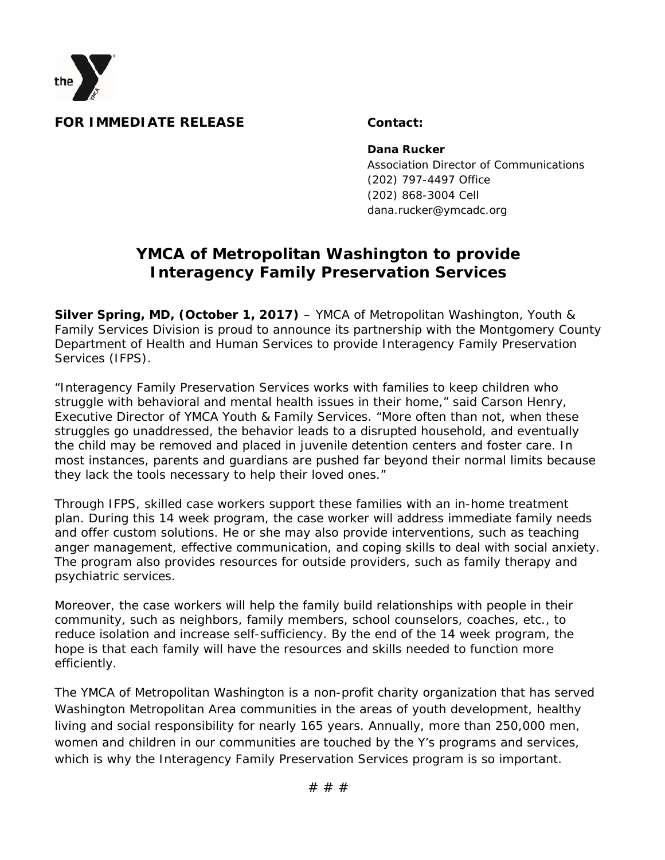

## **FOR IMMEDIATE RELEASE Contact:**

**Dana Rucker**

 Association Director of Communications (202) 797-4497 Office (202) 868-3004 Cell dana.rucker@ymcadc.org

## **YMCA of Metropolitan Washington to provide Interagency Family Preservation Services**

**Silver Spring, MD, (October 1, 2017)** – YMCA of Metropolitan Washington, Youth & Family Services Division is proud to announce its partnership with the Montgomery County Department of Health and Human Services to provide Interagency Family Preservation Services (IFPS).

"Interagency Family Preservation Services works with families to keep children who struggle with behavioral and mental health issues in their home," said Carson Henry, Executive Director of YMCA Youth & Family Services. "More often than not, when these struggles go unaddressed, the behavior leads to a disrupted household, and eventually the child may be removed and placed in juvenile detention centers and foster care. In most instances, parents and guardians are pushed far beyond their normal limits because they lack the tools necessary to help their loved ones."

Through IFPS, skilled case workers support these families with an in-home treatment plan. During this 14 week program, the case worker will address immediate family needs and offer custom solutions. He or she may also provide interventions, such as teaching anger management, effective communication, and coping skills to deal with social anxiety. The program also provides resources for outside providers, such as family therapy and psychiatric services.

Moreover, the case workers will help the family build relationships with people in their community, such as neighbors, family members, school counselors, coaches, etc., to reduce isolation and increase self-sufficiency. By the end of the 14 week program, the hope is that each family will have the resources and skills needed to function more efficiently.

The YMCA of Metropolitan Washington is a non-profit charity organization that has served Washington Metropolitan Area communities in the areas of youth development, healthy living and social responsibility for nearly 165 years. Annually, more than 250,000 men, women and children in our communities are touched by the Y's programs and services, which is why the Interagency Family Preservation Services program is so important.